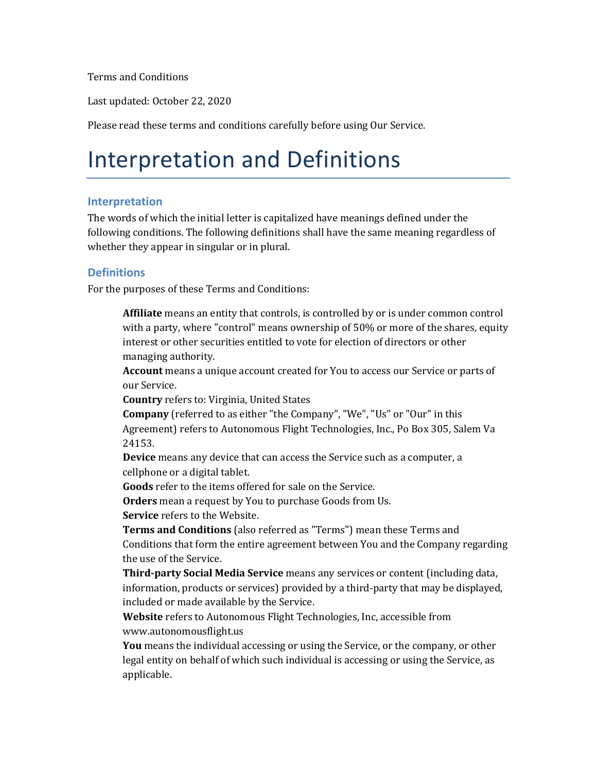Terms and Conditions

Last updated: October 22, 2020

Please read these terms and conditions carefully before using Our Service.

### Interpretation and Definitions

#### **Interpretation**

The words of which the initial letter is capitalized have meanings defined under the following conditions. The following definitions shall have the same meaning regardless of whether they appear in singular or in plural.

#### **Definitions**

For the purposes of these Terms and Conditions:

**Affiliate** means an entity that controls, is controlled by or is under common control with a party, where "control" means ownership of  $50\%$  or more of the shares, equity interest or other securities entitled to vote for election of directors or other managing authority.

**Account** means a unique account created for You to access our Service or parts of our Service.

**Country** refers to: Virginia, United States

**Company** (referred to as either "the Company", "We", "Us" or "Our" in this Agreement) refers to Autonomous Flight Technologies, Inc., Po Box 305, Salem Va 24153.

**Device** means any device that can access the Service such as a computer, a cellphone or a digital tablet.

**Goods** refer to the items offered for sale on the Service.

**Orders** mean a request by You to purchase Goods from Us.

**Service** refers to the Website.

**Terms and Conditions** (also referred as "Terms") mean these Terms and Conditions that form the entire agreement between You and the Company regarding the use of the Service.

Third-party Social Media Service means any services or content (including data, information, products or services) provided by a third-party that may be displayed, included or made available by the Service.

**Website** refers to Autonomous Flight Technologies, Inc, accessible from www.autonomousflight.us

**You** means the individual accessing or using the Service, or the company, or other legal entity on behalf of which such individual is accessing or using the Service, as applicable.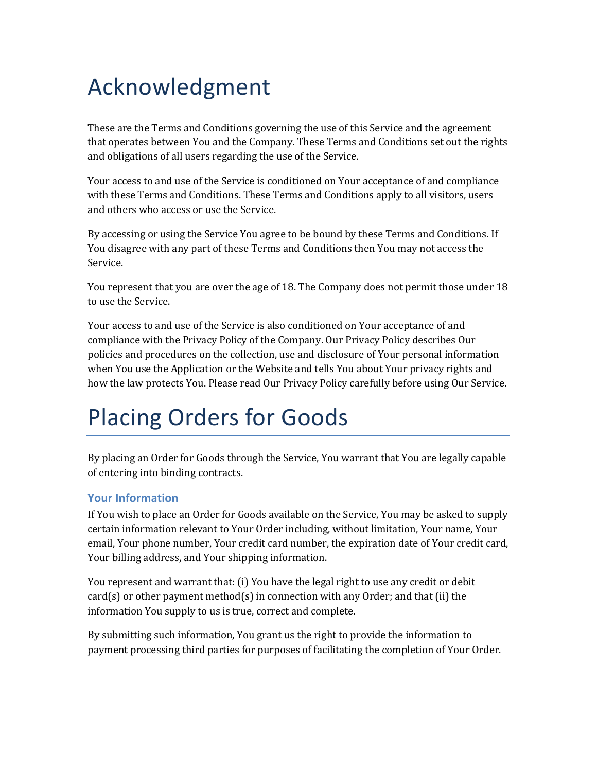## Acknowledgment

These are the Terms and Conditions governing the use of this Service and the agreement that operates between You and the Company. These Terms and Conditions set out the rights and obligations of all users regarding the use of the Service.

Your access to and use of the Service is conditioned on Your acceptance of and compliance with these Terms and Conditions. These Terms and Conditions apply to all visitors, users and others who access or use the Service.

By accessing or using the Service You agree to be bound by these Terms and Conditions. If You disagree with any part of these Terms and Conditions then You may not access the Service.

You represent that you are over the age of 18. The Company does not permit those under 18 to use the Service.

Your access to and use of the Service is also conditioned on Your acceptance of and compliance with the Privacy Policy of the Company. Our Privacy Policy describes Our policies and procedures on the collection, use and disclosure of Your personal information when You use the Application or the Website and tells You about Your privacy rights and how the law protects You. Please read Our Privacy Policy carefully before using Our Service.

# Placing Orders for Goods

By placing an Order for Goods through the Service, You warrant that You are legally capable of entering into binding contracts.

### **Your Information**

If You wish to place an Order for Goods available on the Service, You may be asked to supply certain information relevant to Your Order including, without limitation, Your name, Your email, Your phone number, Your credit card number, the expiration date of Your credit card, Your billing address, and Your shipping information.

You represent and warrant that: (i) You have the legal right to use any credit or debit card(s) or other payment method(s) in connection with any Order; and that (ii) the information You supply to us is true, correct and complete.

By submitting such information, You grant us the right to provide the information to payment processing third parties for purposes of facilitating the completion of Your Order.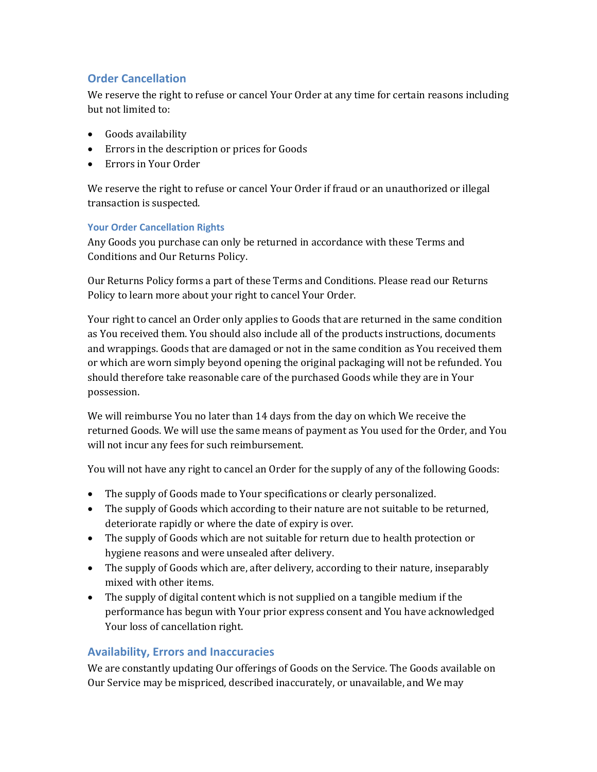#### **Order Cancellation**

We reserve the right to refuse or cancel Your Order at any time for certain reasons including but not limited to:

- Goods availability
- Errors in the description or prices for Goods
- Errors in Your Order

We reserve the right to refuse or cancel Your Order if fraud or an unauthorized or illegal transaction is suspected.

#### **Your Order Cancellation Rights**

Any Goods you purchase can only be returned in accordance with these Terms and Conditions and Our Returns Policy.

Our Returns Policy forms a part of these Terms and Conditions. Please read our Returns Policy to learn more about your right to cancel Your Order.

Your right to cancel an Order only applies to Goods that are returned in the same condition as You received them. You should also include all of the products instructions, documents and wrappings. Goods that are damaged or not in the same condition as You received them or which are worn simply beyond opening the original packaging will not be refunded. You should therefore take reasonable care of the purchased Goods while they are in Your possession.

We will reimburse You no later than 14 days from the day on which We receive the returned Goods. We will use the same means of payment as You used for the Order, and You will not incur any fees for such reimbursement.

You will not have any right to cancel an Order for the supply of any of the following Goods:

- The supply of Goods made to Your specifications or clearly personalized.
- The supply of Goods which according to their nature are not suitable to be returned, deteriorate rapidly or where the date of expiry is over.
- The supply of Goods which are not suitable for return due to health protection or hygiene reasons and were unsealed after delivery.
- The supply of Goods which are, after delivery, according to their nature, inseparably mixed with other items.
- The supply of digital content which is not supplied on a tangible medium if the performance has begun with Your prior express consent and You have acknowledged Your loss of cancellation right.

#### **Availability, Errors and Inaccuracies**

We are constantly updating Our offerings of Goods on the Service. The Goods available on Our Service may be mispriced, described inaccurately, or unavailable, and We may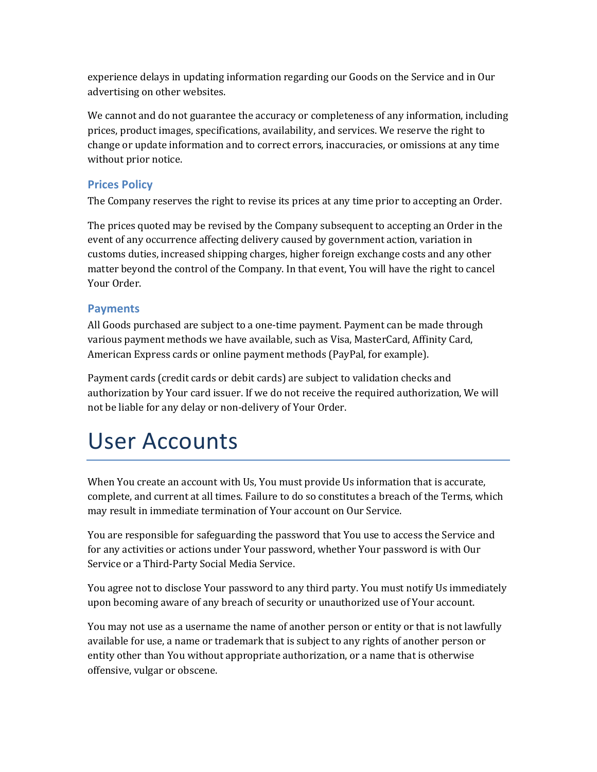experience delays in updating information regarding our Goods on the Service and in Our advertising on other websites.

We cannot and do not guarantee the accuracy or completeness of any information, including prices, product images, specifications, availability, and services. We reserve the right to change or update information and to correct errors, inaccuracies, or omissions at any time without prior notice.

#### **Prices Policy**

The Company reserves the right to revise its prices at any time prior to accepting an Order.

The prices quoted may be revised by the Company subsequent to accepting an Order in the event of any occurrence affecting delivery caused by government action, variation in customs duties, increased shipping charges, higher foreign exchange costs and any other matter beyond the control of the Company. In that event, You will have the right to cancel Your Order.

#### **Payments**

All Goods purchased are subject to a one-time payment. Payment can be made through various payment methods we have available, such as Visa, MasterCard, Affinity Card, American Express cards or online payment methods (PayPal, for example).

Payment cards (credit cards or debit cards) are subject to validation checks and authorization by Your card issuer. If we do not receive the required authorization, We will not be liable for any delay or non-delivery of Your Order.

### User Accounts

When You create an account with Us, You must provide Us information that is accurate, complete, and current at all times. Failure to do so constitutes a breach of the Terms, which may result in immediate termination of Your account on Our Service.

You are responsible for safeguarding the password that You use to access the Service and for any activities or actions under Your password, whether Your password is with Our Service or a Third-Party Social Media Service.

You agree not to disclose Your password to any third party. You must notify Us immediately upon becoming aware of any breach of security or unauthorized use of Your account.

You may not use as a username the name of another person or entity or that is not lawfully available for use, a name or trademark that is subject to any rights of another person or entity other than You without appropriate authorization, or a name that is otherwise offensive, vulgar or obscene.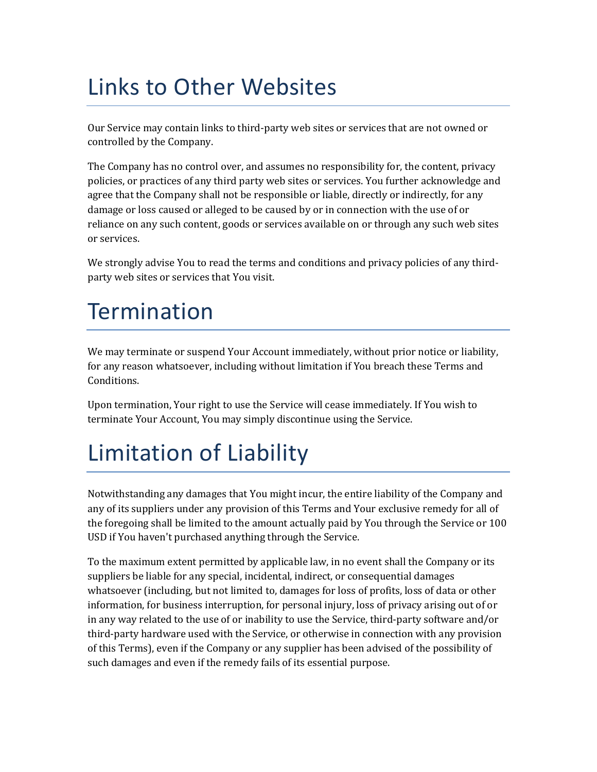# Links to Other Websites

Our Service may contain links to third-party web sites or services that are not owned or controlled by the Company.

The Company has no control over, and assumes no responsibility for, the content, privacy policies, or practices of any third party web sites or services. You further acknowledge and agree that the Company shall not be responsible or liable, directly or indirectly, for any damage or loss caused or alleged to be caused by or in connection with the use of or reliance on any such content, goods or services available on or through any such web sites or services.

We strongly advise You to read the terms and conditions and privacy policies of any thirdparty web sites or services that You visit.

### Termination

We may terminate or suspend Your Account immediately, without prior notice or liability, for any reason whatsoever, including without limitation if You breach these Terms and Conditions.

Upon termination, Your right to use the Service will cease immediately. If You wish to terminate Your Account, You may simply discontinue using the Service.

## Limitation of Liability

Notwithstanding any damages that You might incur, the entire liability of the Company and any of its suppliers under any provision of this Terms and Your exclusive remedy for all of the foregoing shall be limited to the amount actually paid by You through the Service or 100 USD if You haven't purchased anything through the Service.

To the maximum extent permitted by applicable law, in no event shall the Company or its suppliers be liable for any special, incidental, indirect, or consequential damages whatsoever (including, but not limited to, damages for loss of profits, loss of data or other information, for business interruption, for personal injury, loss of privacy arising out of or in any way related to the use of or inability to use the Service, third-party software and/or third-party hardware used with the Service, or otherwise in connection with any provision of this Terms), even if the Company or any supplier has been advised of the possibility of such damages and even if the remedy fails of its essential purpose.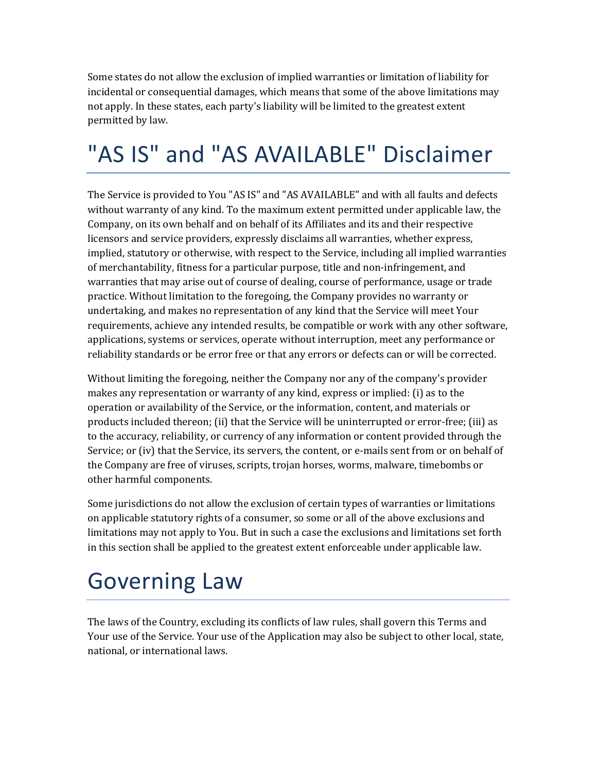Some states do not allow the exclusion of implied warranties or limitation of liability for incidental or consequential damages, which means that some of the above limitations may not apply. In these states, each party's liability will be limited to the greatest extent permitted by law.

# "AS IS" and "AS AVAILABLE" Disclaimer

The Service is provided to You "AS IS" and "AS AVAILABLE" and with all faults and defects without warranty of any kind. To the maximum extent permitted under applicable law, the Company, on its own behalf and on behalf of its Affiliates and its and their respective licensors and service providers, expressly disclaims all warranties, whether express, implied, statutory or otherwise, with respect to the Service, including all implied warranties of merchantability, fitness for a particular purpose, title and non-infringement, and warranties that may arise out of course of dealing, course of performance, usage or trade practice. Without limitation to the foregoing, the Company provides no warranty or undertaking, and makes no representation of any kind that the Service will meet Your requirements, achieve any intended results, be compatible or work with any other software, applications, systems or services, operate without interruption, meet any performance or reliability standards or be error free or that any errors or defects can or will be corrected.

Without limiting the foregoing, neither the Company nor any of the company's provider makes any representation or warranty of any kind, express or implied:  $(i)$  as to the operation or availability of the Service, or the information, content, and materials or products included thereon; (ii) that the Service will be uninterrupted or error-free; (iii) as to the accuracy, reliability, or currency of any information or content provided through the Service; or (iv) that the Service, its servers, the content, or e-mails sent from or on behalf of the Company are free of viruses, scripts, trojan horses, worms, malware, timebombs or other harmful components.

Some jurisdictions do not allow the exclusion of certain types of warranties or limitations on applicable statutory rights of a consumer, so some or all of the above exclusions and limitations may not apply to You. But in such a case the exclusions and limitations set forth in this section shall be applied to the greatest extent enforceable under applicable law.

# Governing Law

The laws of the Country, excluding its conflicts of law rules, shall govern this Terms and Your use of the Service. Your use of the Application may also be subject to other local, state, national, or international laws.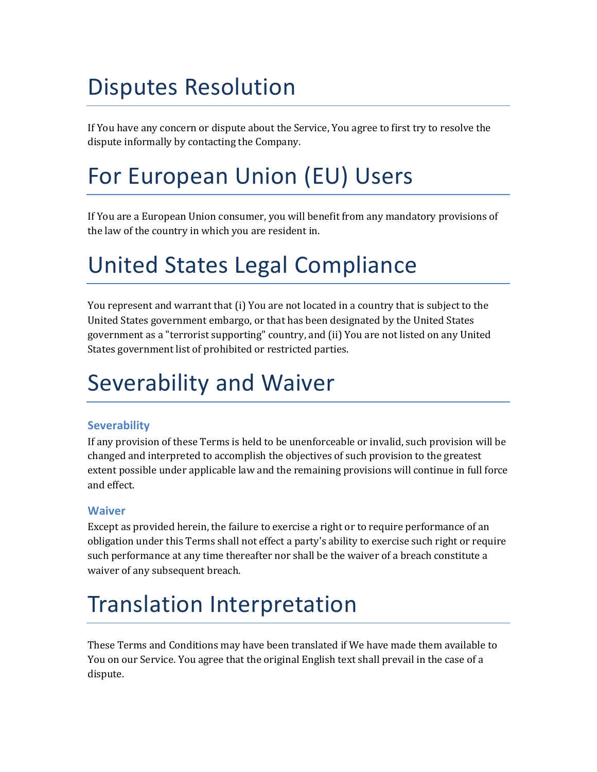## Disputes Resolution

If You have any concern or dispute about the Service, You agree to first try to resolve the dispute informally by contacting the Company.

# For European Union (EU) Users

If You are a European Union consumer, you will benefit from any mandatory provisions of the law of the country in which you are resident in.

## United States Legal Compliance

You represent and warrant that (i) You are not located in a country that is subject to the United States government embargo, or that has been designated by the United States government as a "terrorist supporting" country, and (ii) You are not listed on any United States government list of prohibited or restricted parties.

### Severability and Waiver

### **Severability**

If any provision of these Terms is held to be unenforceable or invalid, such provision will be changed and interpreted to accomplish the objectives of such provision to the greatest extent possible under applicable law and the remaining provisions will continue in full force and effect.

### **Waiver**

Except as provided herein, the failure to exercise a right or to require performance of an obligation under this Terms shall not effect a party's ability to exercise such right or require such performance at any time thereafter nor shall be the waiver of a breach constitute a waiver of any subsequent breach.

## Translation Interpretation

These Terms and Conditions may have been translated if We have made them available to You on our Service. You agree that the original English text shall prevail in the case of a dispute.